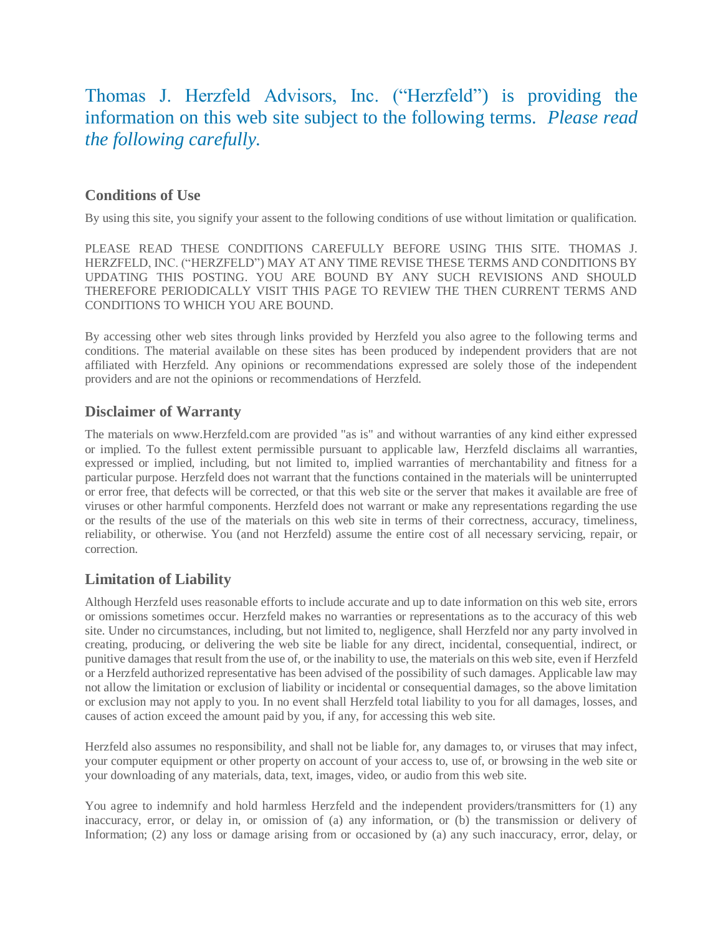# Thomas J. Herzfeld Advisors, Inc. ("Herzfeld") is providing the information on this web site subject to the following terms. *Please read the following carefully.*

#### **Conditions of Use**

By using this site, you signify your assent to the following conditions of use without limitation or qualification.

PLEASE READ THESE CONDITIONS CAREFULLY BEFORE USING THIS SITE. THOMAS J. HERZFELD, INC. ("HERZFELD") MAY AT ANY TIME REVISE THESE TERMS AND CONDITIONS BY UPDATING THIS POSTING. YOU ARE BOUND BY ANY SUCH REVISIONS AND SHOULD THEREFORE PERIODICALLY VISIT THIS PAGE TO REVIEW THE THEN CURRENT TERMS AND CONDITIONS TO WHICH YOU ARE BOUND.

By accessing other web sites through links provided by Herzfeld you also agree to the following terms and conditions. The material available on these sites has been produced by independent providers that are not affiliated with Herzfeld. Any opinions or recommendations expressed are solely those of the independent providers and are not the opinions or recommendations of Herzfeld.

## **Disclaimer of Warranty**

The materials on www.Herzfeld.com are provided "as is" and without warranties of any kind either expressed or implied. To the fullest extent permissible pursuant to applicable law, Herzfeld disclaims all warranties, expressed or implied, including, but not limited to, implied warranties of merchantability and fitness for a particular purpose. Herzfeld does not warrant that the functions contained in the materials will be uninterrupted or error free, that defects will be corrected, or that this web site or the server that makes it available are free of viruses or other harmful components. Herzfeld does not warrant or make any representations regarding the use or the results of the use of the materials on this web site in terms of their correctness, accuracy, timeliness, reliability, or otherwise. You (and not Herzfeld) assume the entire cost of all necessary servicing, repair, or correction.

# **Limitation of Liability**

Although Herzfeld uses reasonable efforts to include accurate and up to date information on this web site, errors or omissions sometimes occur. Herzfeld makes no warranties or representations as to the accuracy of this web site. Under no circumstances, including, but not limited to, negligence, shall Herzfeld nor any party involved in creating, producing, or delivering the web site be liable for any direct, incidental, consequential, indirect, or punitive damages that result from the use of, or the inability to use, the materials on this web site, even if Herzfeld or a Herzfeld authorized representative has been advised of the possibility of such damages. Applicable law may not allow the limitation or exclusion of liability or incidental or consequential damages, so the above limitation or exclusion may not apply to you. In no event shall Herzfeld total liability to you for all damages, losses, and causes of action exceed the amount paid by you, if any, for accessing this web site.

Herzfeld also assumes no responsibility, and shall not be liable for, any damages to, or viruses that may infect, your computer equipment or other property on account of your access to, use of, or browsing in the web site or your downloading of any materials, data, text, images, video, or audio from this web site.

You agree to indemnify and hold harmless Herzfeld and the independent providers/transmitters for (1) any inaccuracy, error, or delay in, or omission of (a) any information, or (b) the transmission or delivery of Information; (2) any loss or damage arising from or occasioned by (a) any such inaccuracy, error, delay, or